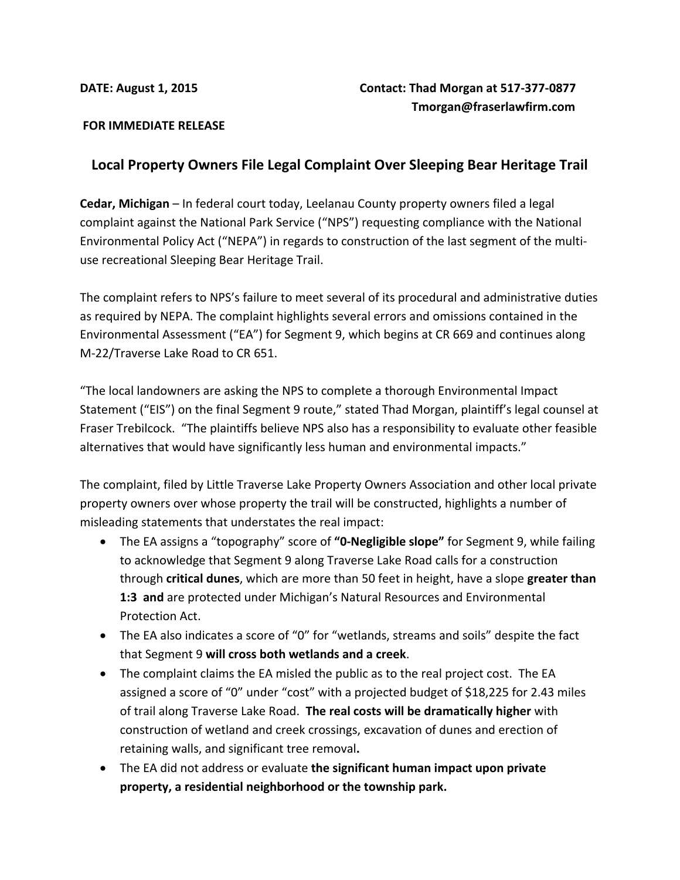### **FOR IMMEDIATE RELEASE**

# **Local Property Owners File Legal Complaint Over Sleeping Bear Heritage Trail**

**Cedar, Michigan** – In federal court today, Leelanau County property owners filed a legal complaint against the National Park Service ("NPS") requesting compliance with the National Environmental Policy Act ("NEPA") in regards to construction of the last segment of the multiuse recreational Sleeping Bear Heritage Trail.

The complaint refers to NPS's failure to meet several of its procedural and administrative duties as required by NEPA. The complaint highlights several errors and omissions contained in the Environmental Assessment ("EA") for Segment 9, which begins at CR 669 and continues along M-22/Traverse Lake Road to CR 651.

"The local landowners are asking the NPS to complete a thorough Environmental Impact Statement ("EIS") on the final Segment 9 route," stated Thad Morgan, plaintiff's legal counsel at Fraser Trebilcock. "The plaintiffs believe NPS also has a responsibility to evaluate other feasible alternatives that would have significantly less human and environmental impacts."

The complaint, filed by Little Traverse Lake Property Owners Association and other local private property owners over whose property the trail will be constructed, highlights a number of misleading statements that understates the real impact:

- The EA assigns a "topography" score of **"0-Negligible slope"** for Segment 9, while failing to acknowledge that Segment 9 along Traverse Lake Road calls for a construction through **critical dunes**, which are more than 50 feet in height, have a slope **greater than 1:3 and** are protected under Michigan's Natural Resources and Environmental Protection Act.
- The EA also indicates a score of "0" for "wetlands, streams and soils" despite the fact that Segment 9 **will cross both wetlands and a creek**.
- The complaint claims the EA misled the public as to the real project cost. The EA assigned a score of "0" under "cost" with a projected budget of \$18,225 for 2.43 miles of trail along Traverse Lake Road. **The real costs will be dramatically higher** with construction of wetland and creek crossings, excavation of dunes and erection of retaining walls, and significant tree removal**.**
- The EA did not address or evaluate **the significant human impact upon private property, a residential neighborhood or the township park.**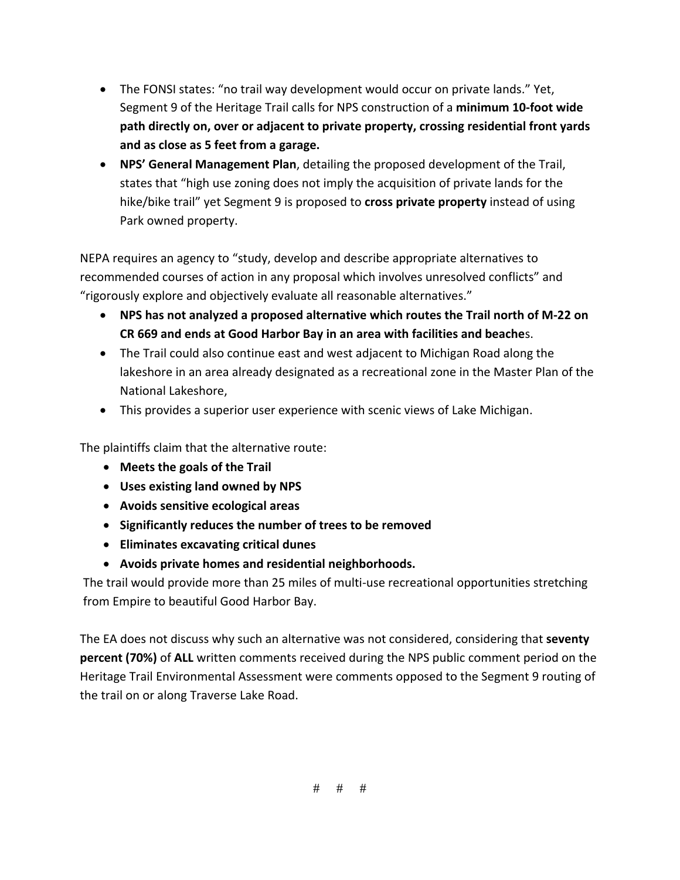- The FONSI states: "no trail way development would occur on private lands." Yet, Segment 9 of the Heritage Trail calls for NPS construction of a **minimum 10-foot wide path directly on, over or adjacent to private property, crossing residential front yards and as close as 5 feet from a garage.**
- **NPS' General Management Plan**, detailing the proposed development of the Trail, states that "high use zoning does not imply the acquisition of private lands for the hike/bike trail" yet Segment 9 is proposed to **cross private property** instead of using Park owned property.

NEPA requires an agency to "study, develop and describe appropriate alternatives to recommended courses of action in any proposal which involves unresolved conflicts" and "rigorously explore and objectively evaluate all reasonable alternatives."

- **NPS has not analyzed a proposed alternative which routes the Trail north of M-22 on CR 669 and ends at Good Harbor Bay in an area with facilities and beache**s.
- The Trail could also continue east and west adjacent to Michigan Road along the lakeshore in an area already designated as a recreational zone in the Master Plan of the National Lakeshore,
- This provides a superior user experience with scenic views of Lake Michigan.

The plaintiffs claim that the alternative route:

- **Meets the goals of the Trail**
- **Uses existing land owned by NPS**
- **Avoids sensitive ecological areas**
- **Significantly reduces the number of trees to be removed**
- **Eliminates excavating critical dunes**
- **Avoids private homes and residential neighborhoods.**

The trail would provide more than 25 miles of multi-use recreational opportunities stretching from Empire to beautiful Good Harbor Bay.

The EA does not discuss why such an alternative was not considered, considering that **seventy percent (70%)** of **ALL** written comments received during the NPS public comment period on the Heritage Trail Environmental Assessment were comments opposed to the Segment 9 routing of the trail on or along Traverse Lake Road.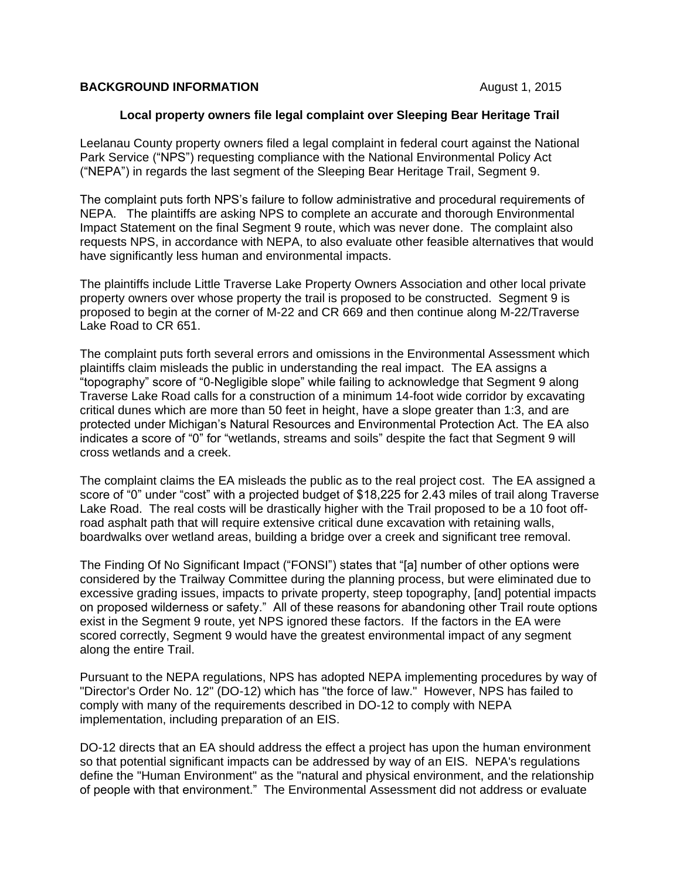### **BACKGROUND INFORMATION BACKGROUND INFORMATION**

### **Local property owners file legal complaint over Sleeping Bear Heritage Trail**

Leelanau County property owners filed a legal complaint in federal court against the National Park Service ("NPS") requesting compliance with the National Environmental Policy Act ("NEPA") in regards the last segment of the Sleeping Bear Heritage Trail, Segment 9.

The complaint puts forth NPS's failure to follow administrative and procedural requirements of NEPA. The plaintiffs are asking NPS to complete an accurate and thorough Environmental Impact Statement on the final Segment 9 route, which was never done. The complaint also requests NPS, in accordance with NEPA, to also evaluate other feasible alternatives that would have significantly less human and environmental impacts.

The plaintiffs include Little Traverse Lake Property Owners Association and other local private property owners over whose property the trail is proposed to be constructed. Segment 9 is proposed to begin at the corner of M-22 and CR 669 and then continue along M-22/Traverse Lake Road to CR 651.

The complaint puts forth several errors and omissions in the Environmental Assessment which plaintiffs claim misleads the public in understanding the real impact. The EA assigns a "topography" score of "0-Negligible slope" while failing to acknowledge that Segment 9 along Traverse Lake Road calls for a construction of a minimum 14-foot wide corridor by excavating critical dunes which are more than 50 feet in height, have a slope greater than 1:3, and are protected under Michigan's Natural Resources and Environmental Protection Act. The EA also indicates a score of "0" for "wetlands, streams and soils" despite the fact that Segment 9 will cross wetlands and a creek.

The complaint claims the EA misleads the public as to the real project cost. The EA assigned a score of "0" under "cost" with a projected budget of \$18,225 for 2.43 miles of trail along Traverse Lake Road. The real costs will be drastically higher with the Trail proposed to be a 10 foot offroad asphalt path that will require extensive critical dune excavation with retaining walls, boardwalks over wetland areas, building a bridge over a creek and significant tree removal.

The Finding Of No Significant Impact ("FONSI") states that "[a] number of other options were considered by the Trailway Committee during the planning process, but were eliminated due to excessive grading issues, impacts to private property, steep topography, [and] potential impacts on proposed wilderness or safety." All of these reasons for abandoning other Trail route options exist in the Segment 9 route, yet NPS ignored these factors. If the factors in the EA were scored correctly, Segment 9 would have the greatest environmental impact of any segment along the entire Trail.

Pursuant to the NEPA regulations, NPS has adopted NEPA implementing procedures by way of "Director's Order No. 12" (DO-12) which has "the force of law." However, NPS has failed to comply with many of the requirements described in DO-12 to comply with NEPA implementation, including preparation of an EIS.

DO-12 directs that an EA should address the effect a project has upon the human environment so that potential significant impacts can be addressed by way of an EIS. NEPA's regulations define the "Human Environment" as the "natural and physical environment, and the relationship of people with that environment." The Environmental Assessment did not address or evaluate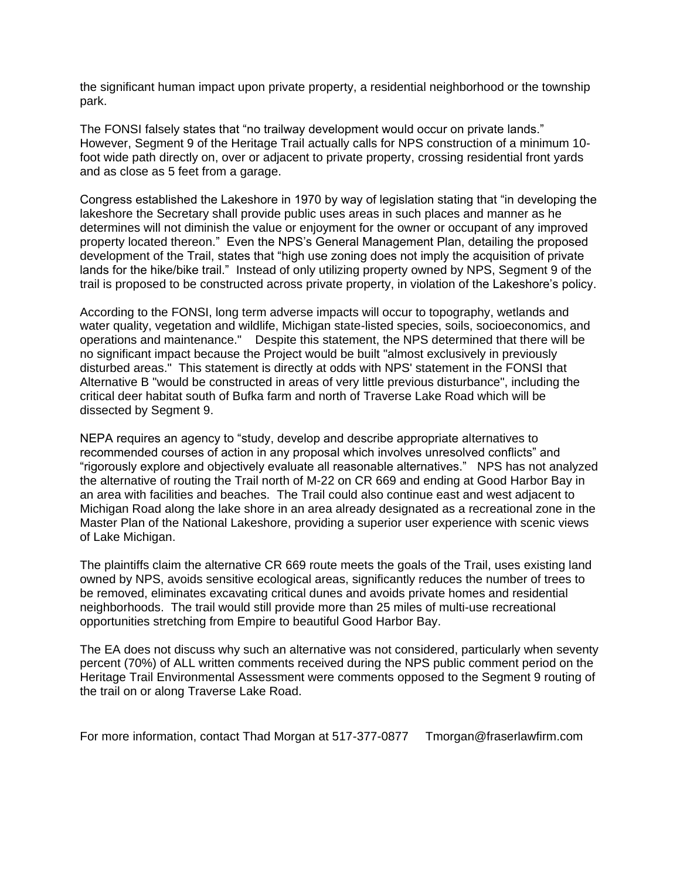the significant human impact upon private property, a residential neighborhood or the township park.

The FONSI falsely states that "no trailway development would occur on private lands." However, Segment 9 of the Heritage Trail actually calls for NPS construction of a minimum 10 foot wide path directly on, over or adjacent to private property, crossing residential front yards and as close as 5 feet from a garage.

Congress established the Lakeshore in 1970 by way of legislation stating that "in developing the lakeshore the Secretary shall provide public uses areas in such places and manner as he determines will not diminish the value or enjoyment for the owner or occupant of any improved property located thereon." Even the NPS's General Management Plan, detailing the proposed development of the Trail, states that "high use zoning does not imply the acquisition of private lands for the hike/bike trail." Instead of only utilizing property owned by NPS, Segment 9 of the trail is proposed to be constructed across private property, in violation of the Lakeshore's policy.

According to the FONSI, long term adverse impacts will occur to topography, wetlands and water quality, vegetation and wildlife, Michigan state-listed species, soils, socioeconomics, and operations and maintenance." Despite this statement, the NPS determined that there will be no significant impact because the Project would be built "almost exclusively in previously disturbed areas." This statement is directly at odds with NPS' statement in the FONSI that Alternative B "would be constructed in areas of very little previous disturbance", including the critical deer habitat south of Bufka farm and north of Traverse Lake Road which will be dissected by Segment 9.

NEPA requires an agency to "study, develop and describe appropriate alternatives to recommended courses of action in any proposal which involves unresolved conflicts" and "rigorously explore and objectively evaluate all reasonable alternatives." NPS has not analyzed the alternative of routing the Trail north of M-22 on CR 669 and ending at Good Harbor Bay in an area with facilities and beaches. The Trail could also continue east and west adjacent to Michigan Road along the lake shore in an area already designated as a recreational zone in the Master Plan of the National Lakeshore, providing a superior user experience with scenic views of Lake Michigan.

The plaintiffs claim the alternative CR 669 route meets the goals of the Trail, uses existing land owned by NPS, avoids sensitive ecological areas, significantly reduces the number of trees to be removed, eliminates excavating critical dunes and avoids private homes and residential neighborhoods. The trail would still provide more than 25 miles of multi-use recreational opportunities stretching from Empire to beautiful Good Harbor Bay.

The EA does not discuss why such an alternative was not considered, particularly when seventy percent (70%) of ALL written comments received during the NPS public comment period on the Heritage Trail Environmental Assessment were comments opposed to the Segment 9 routing of the trail on or along Traverse Lake Road.

For more information, contact Thad Morgan at 517-377-0877 Tmorgan@fraserlawfirm.com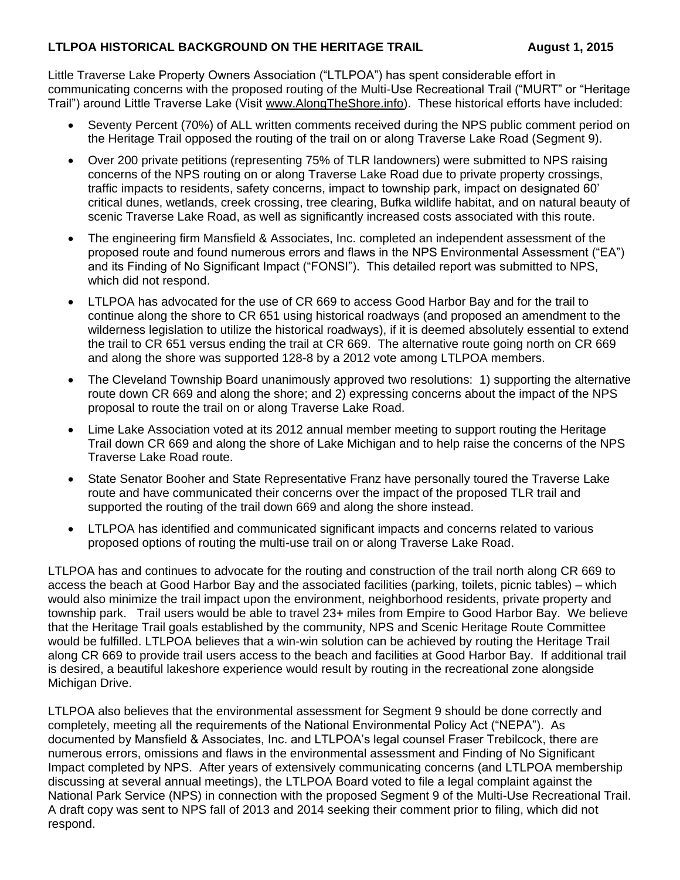## **LTLPOA HISTORICAL BACKGROUND ON THE HERITAGE TRAIL August 1, 2015**

Little Traverse Lake Property Owners Association ("LTLPOA") has spent considerable effort in communicating concerns with the proposed routing of the Multi-Use Recreational Trail ("MURT" or "Heritage Trail") around Little Traverse Lake (Visit [www.AlongTheShore.info\)](http://www.alongtheshore.info/). These historical efforts have included:

- Seventy Percent (70%) of ALL written comments received during the NPS public comment period on the Heritage Trail opposed the routing of the trail on or along Traverse Lake Road (Segment 9).
- Over 200 private petitions (representing 75% of TLR landowners) were submitted to NPS raising concerns of the NPS routing on or along Traverse Lake Road due to private property crossings, traffic impacts to residents, safety concerns, impact to township park, impact on designated 60' critical dunes, wetlands, creek crossing, tree clearing, Bufka wildlife habitat, and on natural beauty of scenic Traverse Lake Road, as well as significantly increased costs associated with this route.
- The engineering firm Mansfield & Associates, Inc. completed an independent assessment of the proposed route and found numerous errors and flaws in the NPS Environmental Assessment ("EA") and its Finding of No Significant Impact ("FONSI"). This detailed report was submitted to NPS, which did not respond.
- LTLPOA has advocated for the use of CR 669 to access Good Harbor Bay and for the trail to continue along the shore to CR 651 using historical roadways (and proposed an amendment to the wilderness legislation to utilize the historical roadways), if it is deemed absolutely essential to extend the trail to CR 651 versus ending the trail at CR 669. The alternative route going north on CR 669 and along the shore was supported 128-8 by a 2012 vote among LTLPOA members.
- The Cleveland Township Board unanimously approved two resolutions: 1) supporting the alternative route down CR 669 and along the shore; and 2) expressing concerns about the impact of the NPS proposal to route the trail on or along Traverse Lake Road.
- Lime Lake Association voted at its 2012 annual member meeting to support routing the Heritage Trail down CR 669 and along the shore of Lake Michigan and to help raise the concerns of the NPS Traverse Lake Road route.
- State Senator Booher and State Representative Franz have personally toured the Traverse Lake route and have communicated their concerns over the impact of the proposed TLR trail and supported the routing of the trail down 669 and along the shore instead.
- LTLPOA has identified and communicated significant impacts and concerns related to various proposed options of routing the multi-use trail on or along Traverse Lake Road.

LTLPOA has and continues to advocate for the routing and construction of the trail north along CR 669 to access the beach at Good Harbor Bay and the associated facilities (parking, toilets, picnic tables) – which would also minimize the trail impact upon the environment, neighborhood residents, private property and township park. Trail users would be able to travel 23+ miles from Empire to Good Harbor Bay. We believe that the Heritage Trail goals established by the community, NPS and Scenic Heritage Route Committee would be fulfilled. LTLPOA believes that a win-win solution can be achieved by routing the Heritage Trail along CR 669 to provide trail users access to the beach and facilities at Good Harbor Bay. If additional trail is desired, a beautiful lakeshore experience would result by routing in the recreational zone alongside Michigan Drive.

LTLPOA also believes that the environmental assessment for Segment 9 should be done correctly and completely, meeting all the requirements of the National Environmental Policy Act ("NEPA"). As documented by Mansfield & Associates, Inc. and LTLPOA's legal counsel Fraser Trebilcock, there are numerous errors, omissions and flaws in the environmental assessment and Finding of No Significant Impact completed by NPS. After years of extensively communicating concerns (and LTLPOA membership discussing at several annual meetings), the LTLPOA Board voted to file a legal complaint against the National Park Service (NPS) in connection with the proposed Segment 9 of the Multi-Use Recreational Trail. A draft copy was sent to NPS fall of 2013 and 2014 seeking their comment prior to filing, which did not respond.